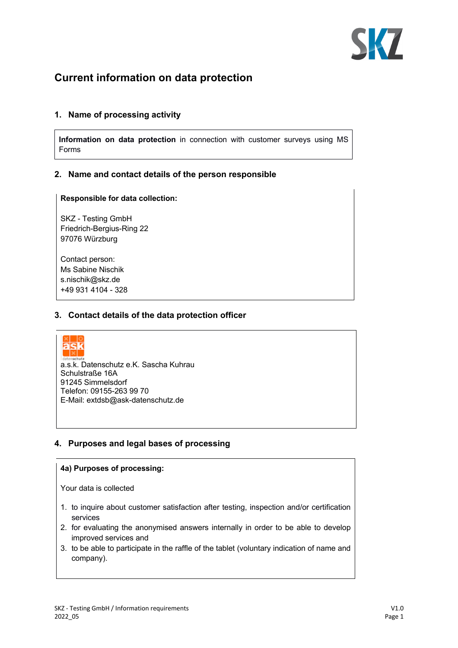

# **Current information on data protection**

## **1. Name of processing activity**

**Information on data protection** in connection with customer surveys using MS Forms

## **2. Name and contact details of the person responsible**

#### **Responsible for data collection:**

SKZ - Testing GmbH Friedrich-Bergius-Ring 22 97076 Würzburg

Contact person: Ms Sabine Nischik s.nischik@skz.de +49 931 4104 - 328

## **3. Contact details of the data protection officer**



a.s.k. Datenschutz e.K. Sascha Kuhrau Schulstraße 16A 91245 Simmelsdorf Telefon: 09155-263 99 70 E-Mail: extdsb@ask-datenschutz.de

## **4. Purposes and legal bases of processing**

## **4a) Purposes of processing:**

Your data is collected

- 1. to inquire about customer satisfaction after testing, inspection and/or certification services
- 2. for evaluating the anonymised answers internally in order to be able to develop improved services and
- 3. to be able to participate in the raffle of the tablet (voluntary indication of name and company).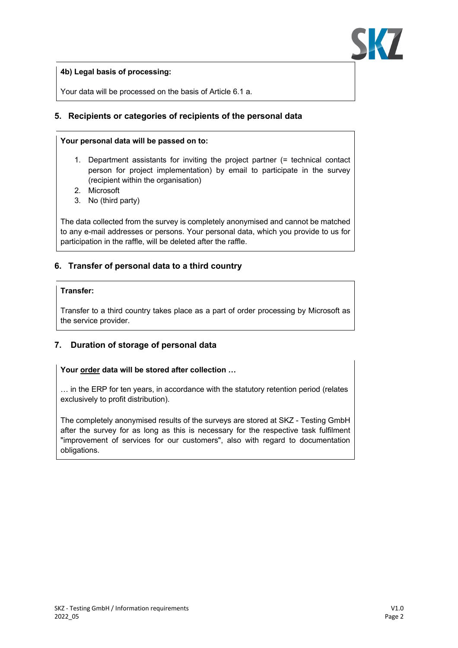



Your data will be processed on the basis of Article 6.1 a.

## **5. Recipients or categories of recipients of the personal data**

#### **Your personal data will be passed on to:**

- 1. Department assistants for inviting the project partner (= technical contact person for project implementation) by email to participate in the survey (recipient within the organisation)
- 2. Microsoft
- 3. No (third party)

The data collected from the survey is completely anonymised and cannot be matched to any e-mail addresses or persons. Your personal data, which you provide to us for participation in the raffle, will be deleted after the raffle.

# **6. Transfer of personal data to a third country**

## **Transfer:**

Transfer to a third country takes place as a part of order processing by Microsoft as the service provider.

# **7. Duration of storage of personal data**

## Your **order** data will be stored after collection ...

… in the ERP for ten years, in accordance with the statutory retention period (relates exclusively to profit distribution).

The completely anonymised results of the surveys are stored at SKZ - Testing GmbH after the survey for as long as this is necessary for the respective task fulfilment "improvement of services for our customers", also with regard to documentation obligations.